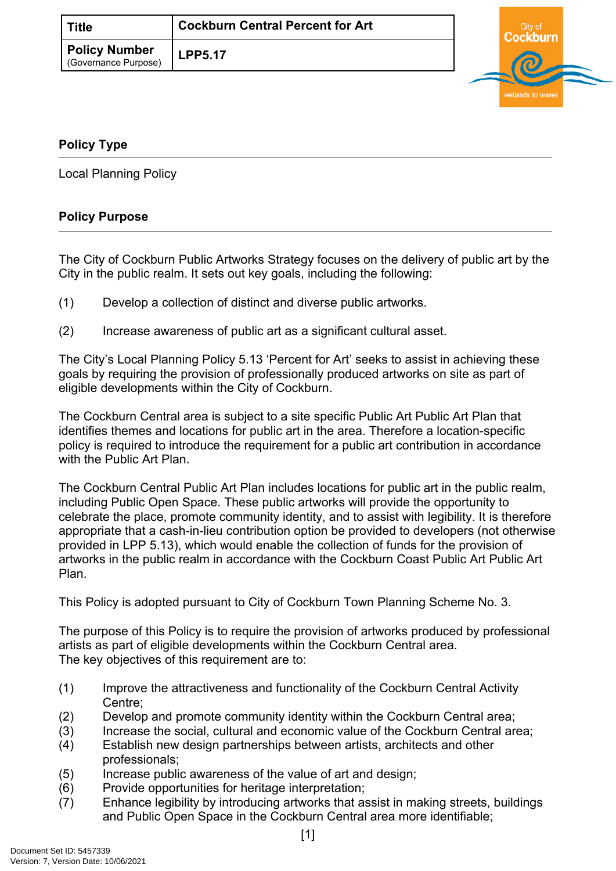| <b>Title</b>                                 | <b>Cockburn Central Percent for Art</b> |  |
|----------------------------------------------|-----------------------------------------|--|
| <b>Policy Number</b><br>(Governance Purpose) | <b>LPP5.17</b>                          |  |

## <span id="page-0-0"></span>**[Policy Type](#page-0-0)**

Local Planning Policy

## **Policy Purpose**

The City of Cockburn Public Artworks Strategy focuses on the delivery of public art by the City in the public realm. It sets out key goals, including the following:

- (1) Develop a collection of distinct and diverse public artworks.
- (2) Increase awareness of public art as a significant cultural asset.

The City's Local Planning Policy 5.13 'Percent for Art' seeks to assist in achieving these goals by requiring the provision of professionally produced artworks on site as part of eligible developments within the City of Cockburn.

The Cockburn Central area is subject to a site specific Public Art Public Art Plan that identifies themes and locations for public art in the area. Therefore a location-specific policy is required to introduce the requirement for a public art contribution in accordance with the Public Art Plan.

The Cockburn Central Public Art Plan includes locations for public art in the public realm, including Public Open Space. These public artworks will provide the opportunity to celebrate the place, promote community identity, and to assist with legibility. It is therefore appropriate that a cash-in-lieu contribution option be provided to developers (not otherwise provided in LPP 5.13), which would enable the collection of funds for the provision of artworks in the public realm in accordance with the Cockburn Coast Public Art Public Art Plan.

This Policy is adopted pursuant to City of Cockburn Town Planning Scheme No. 3.

The purpose of this Policy is to require the provision of artworks produced by professional artists as part of eligible developments within the Cockburn Central area. The key objectives of this requirement are to:

- (1) Improve the attractiveness and functionality of the Cockburn Central Activity Centre;
- (2) Develop and promote community identity within the Cockburn Central area;
- (3) Increase the social, cultural and economic value of the Cockburn Central area;
- (4) Establish new design partnerships between artists, architects and other professionals;
- (5) Increase public awareness of the value of art and design;
- (6) Provide opportunities for heritage interpretation;
- (7) Enhance legibility by introducing artworks that assist in making streets, buildings and Public Open Space in the Cockburn Central area more identifiable;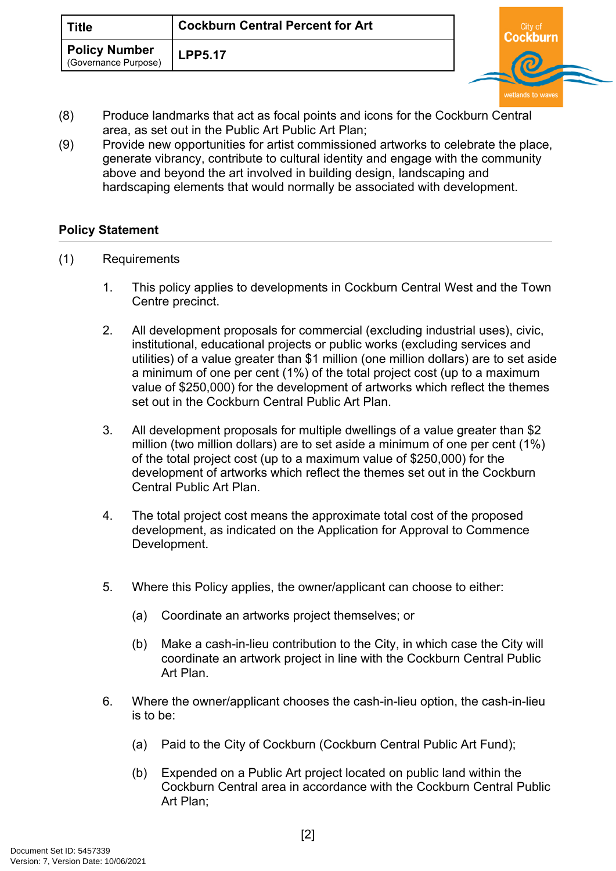| <b>Title</b>                                 | <b>Cockburn Central Percent for Art</b> | City o |  |
|----------------------------------------------|-----------------------------------------|--------|--|
| <b>Policy Number</b><br>(Governance Purpose) | <b>LPP5.17</b>                          |        |  |

- (8) Produce landmarks that act as focal points and icons for the Cockburn Central area, as set out in the Public Art Public Art Plan;
- (9) Provide new opportunities for artist commissioned artworks to celebrate the place, generate vibrancy, contribute to cultural identity and engage with the community above and beyond the art involved in building design, landscaping and hardscaping elements that would normally be associated with development.

## **[Policy Statement](#page-1-0)**

- <span id="page-1-0"></span>(1) Requirements
	- 1. This policy applies to developments in Cockburn Central West and the Town Centre precinct.
	- 2. All development proposals for commercial (excluding industrial uses), civic, institutional, educational projects or public works (excluding services and utilities) of a value greater than \$1 million (one million dollars) are to set aside a minimum of one per cent (1%) of the total project cost (up to a maximum value of \$250,000) for the development of artworks which reflect the themes set out in the Cockburn Central Public Art Plan.
	- 3. All development proposals for multiple dwellings of a value greater than \$2 million (two million dollars) are to set aside a minimum of one per cent (1%) of the total project cost (up to a maximum value of \$250,000) for the development of artworks which reflect the themes set out in the Cockburn Central Public Art Plan.
	- 4. The total project cost means the approximate total cost of the proposed development, as indicated on the Application for Approval to Commence Development.
	- 5. Where this Policy applies, the owner/applicant can choose to either:
		- (a) Coordinate an artworks project themselves; or
		- (b) Make a cash-in-lieu contribution to the City, in which case the City will coordinate an artwork project in line with the Cockburn Central Public Art Plan.
	- 6. Where the owner/applicant chooses the cash-in-lieu option, the cash-in-lieu is to be:
		- (a) Paid to the City of Cockburn (Cockburn Central Public Art Fund);
		- (b) Expended on a Public Art project located on public land within the Cockburn Central area in accordance with the Cockburn Central Public Art Plan;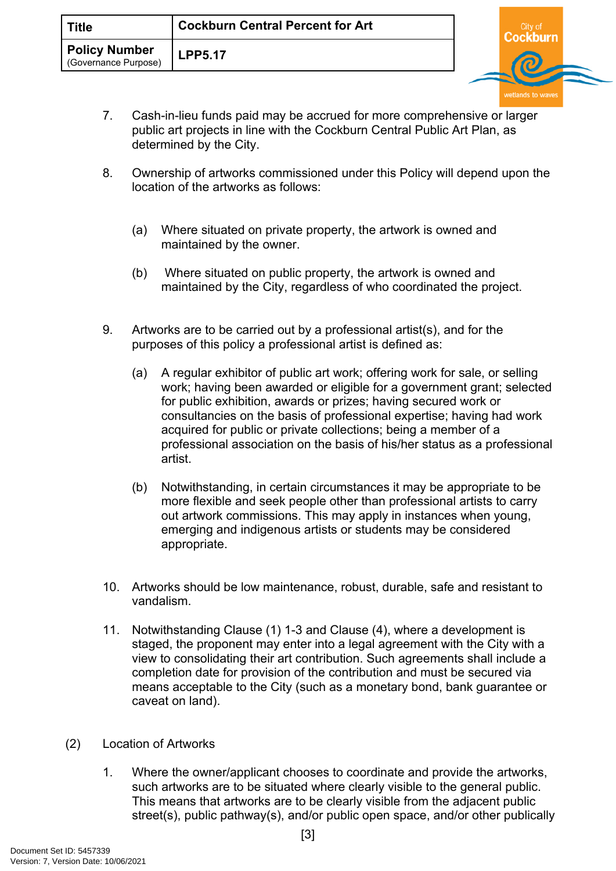- Cockburn wetlands to w
- 7. Cash-in-lieu funds paid may be accrued for more comprehensive or larger public art projects in line with the Cockburn Central Public Art Plan, as determined by the City.
- 8. Ownership of artworks commissioned under this Policy will depend upon the location of the artworks as follows:
	- (a) Where situated on private property, the artwork is owned and maintained by the owner.
	- (b) Where situated on public property, the artwork is owned and maintained by the City, regardless of who coordinated the project.
- 9. Artworks are to be carried out by a professional artist(s), and for the purposes of this policy a professional artist is defined as:
	- (a) A regular exhibitor of public art work; offering work for sale, or selling work; having been awarded or eligible for a government grant; selected for public exhibition, awards or prizes; having secured work or consultancies on the basis of professional expertise; having had work acquired for public or private collections; being a member of a professional association on the basis of his/her status as a professional artist.
	- (b) Notwithstanding, in certain circumstances it may be appropriate to be more flexible and seek people other than professional artists to carry out artwork commissions. This may apply in instances when young, emerging and indigenous artists or students may be considered appropriate.
- 10. Artworks should be low maintenance, robust, durable, safe and resistant to vandalism.
- 11. Notwithstanding Clause (1) 1-3 and Clause (4), where a development is staged, the proponent may enter into a legal agreement with the City with a view to consolidating their art contribution. Such agreements shall include a completion date for provision of the contribution and must be secured via means acceptable to the City (such as a monetary bond, bank guarantee or caveat on land).
- (2) Location of Artworks
	- 1. Where the owner/applicant chooses to coordinate and provide the artworks, such artworks are to be situated where clearly visible to the general public. This means that artworks are to be clearly visible from the adjacent public street(s), public pathway(s), and/or public open space, and/or other publically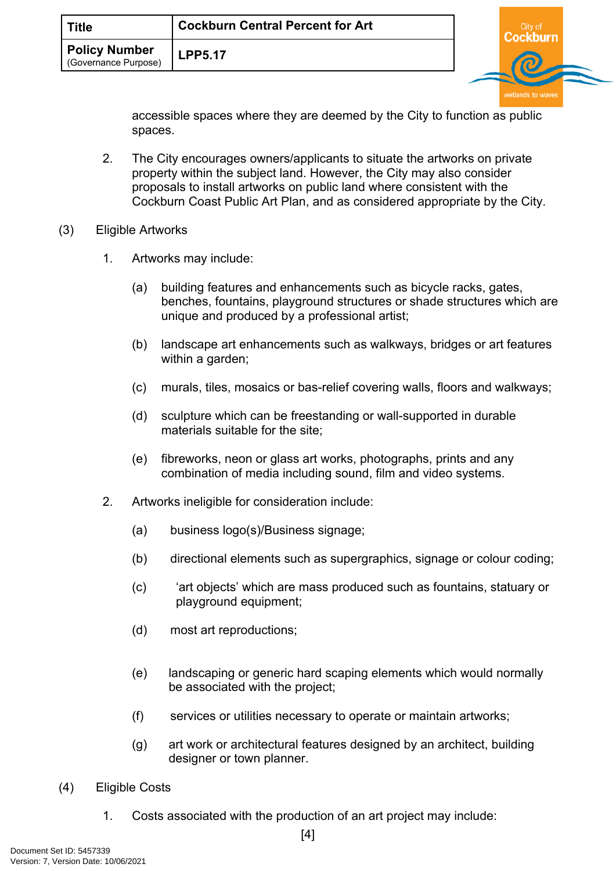| <b>Title</b>                                 | <b>Cockburn Central Percent for Art</b> |  |
|----------------------------------------------|-----------------------------------------|--|
| <b>Policy Number</b><br>(Governance Purpose) | <b>LPP5.17</b>                          |  |

property within the subject land. However, the City may also consider proposals to install artworks on public land where consistent with the Cockburn Coast Public Art Plan, and as considered appropriate by the City. 1. Artworks may include:

2. The City encourages owners/applicants to situate the artworks on private

(a) building features and enhancements such as bicycle racks, gates, benches, fountains, playground structures or shade structures which are unique and produced by a professional artist;

accessible spaces where they are deemed by the City to function as public

wetlands to waves

- (b) landscape art enhancements such as walkways, bridges or art features within a garden;
- (c) murals, tiles, mosaics or bas-relief covering walls, floors and walkways;
- (d) sculpture which can be freestanding or wall-supported in durable materials suitable for the site;
- (e) fibreworks, neon or glass art works, photographs, prints and any combination of media including sound, film and video systems.
- 2. Artworks ineligible for consideration include:

spaces.

(3) Eligible Artworks

- (a) business logo(s)/Business signage;
- (b) directional elements such as supergraphics, signage or colour coding;
- (c) 'art objects' which are mass produced such as fountains, statuary or playground equipment;
- (d) most art reproductions;
- (e) landscaping or generic hard scaping elements which would normally be associated with the project;
- (f) services or utilities necessary to operate or maintain artworks;
- (g) art work or architectural features designed by an architect, building designer or town planner.
- (4) Eligible Costs
	- 1. Costs associated with the production of an art project may include: